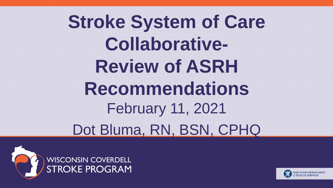## **Stroke System of Care Collaborative-Review of ASRH Recommendations**  February 11, 2021 Dot Bluma, RN, BSN, CPHQ



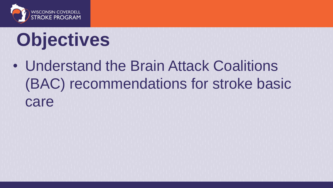

# **Objectives**

• Understand the Brain Attack Coalitions (BAC) recommendations for stroke basic care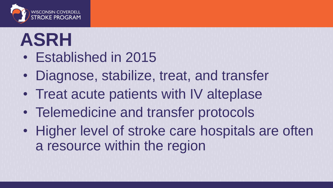

## **ASRH**

- Established in 2015
- Diagnose, stabilize, treat, and transfer
- Treat acute patients with IV alteplase
- Telemedicine and transfer protocols
- Higher level of stroke care hospitals are often a resource within the region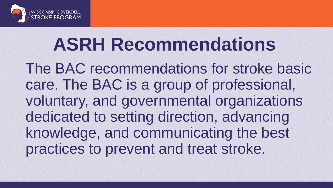

## **ASRH Recommendations**

The BAC recommendations for stroke basic care. The BAC is a group of professional, voluntary, and governmental organizations dedicated to setting direction, advancing knowledge, and communicating the best practices to prevent and treat stroke.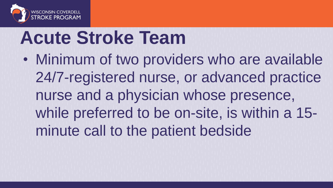

## **Acute Stroke Team**

• Minimum of two providers who are available 24/7-registered nurse, or advanced practice nurse and a physician whose presence, while preferred to be on-site, is within a 15 minute call to the patient bedside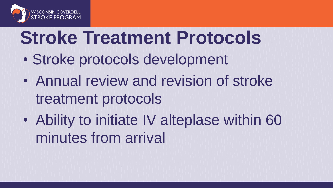

## **Stroke Treatment Protocols**

- Stroke protocols development
- Annual review and revision of stroke treatment protocols
- Ability to initiate IV alteplase within 60 minutes from arrival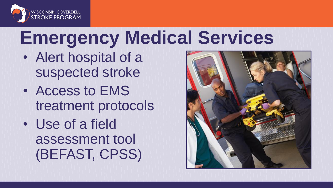

## **Emergency Medical Services**

- Alert hospital of a suspected stroke
- Access to EMS treatment protocols
- Use of a field assessment tool (BEFAST, CPSS)

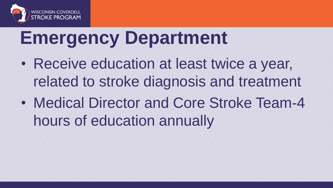

## **Emergency Department**

- Receive education at least twice a year, related to stroke diagnosis and treatment
- Medical Director and Core Stroke Team-4 hours of education annually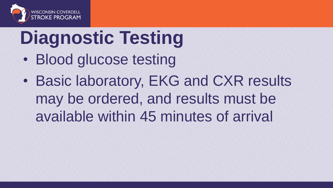

# **Diagnostic Testing**

- Blood glucose testing
- Basic laboratory, EKG and CXR results may be ordered, and results must be available within 45 minutes of arrival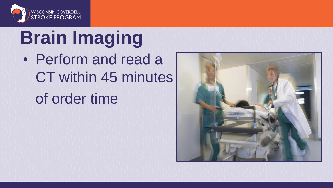

# **Brain Imaging**

• Perform and read a CT within 45 minutes of order time

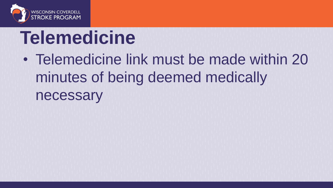

## **Telemedicine**

• Telemedicine link must be made within 20 minutes of being deemed medically necessary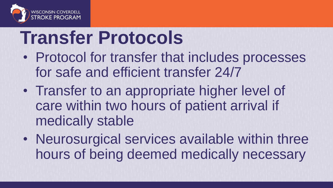

## **Transfer Protocols**

- Protocol for transfer that includes processes for safe and efficient transfer 24/7
- Transfer to an appropriate higher level of care within two hours of patient arrival if medically stable
- Neurosurgical services available within three hours of being deemed medically necessary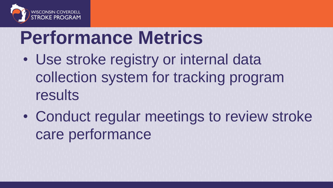

## **Performance Metrics**

- Use stroke registry or internal data collection system for tracking program results
- Conduct regular meetings to review stroke care performance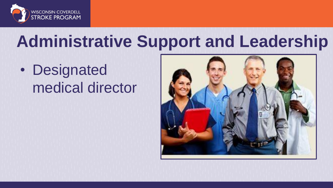

## **Administrative Support and Leadership**

• Designated medical director

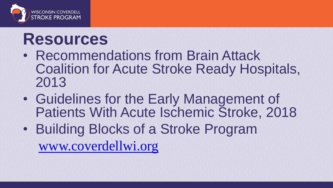

### **Resources**

- Recommendations from Brain Attack Coalition for Acute Stroke Ready Hospitals, 2013
- Guidelines for the Early Management of Patients With Acute Ischemic Stroke, 2018
- Building Blocks of a Stroke Program [www.coverdellwi.org](http://www.coverdellwi.org/)